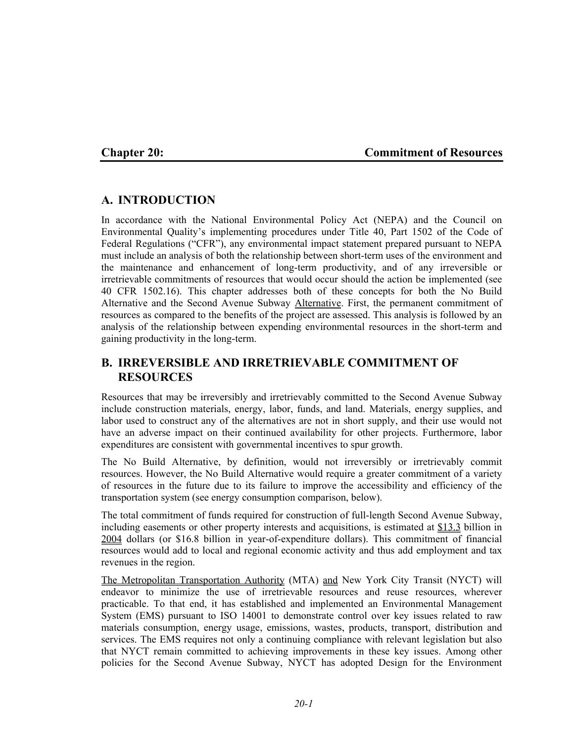#### **Chapter 20: Commitment of Resources**

# **A. INTRODUCTION**

In accordance with the National Environmental Policy Act (NEPA) and the Council on Environmental Quality's implementing procedures under Title 40, Part 1502 of the Code of Federal Regulations ("CFR"), any environmental impact statement prepared pursuant to NEPA must include an analysis of both the relationship between short-term uses of the environment and the maintenance and enhancement of long-term productivity, and of any irreversible or irretrievable commitments of resources that would occur should the action be implemented (see 40 CFR 1502.16). This chapter addresses both of these concepts for both the No Build Alternative and the Second Avenue Subway Alternative. First, the permanent commitment of resources as compared to the benefits of the project are assessed. This analysis is followed by an analysis of the relationship between expending environmental resources in the short-term and gaining productivity in the long-term.

# **B. IRREVERSIBLE AND IRRETRIEVABLE COMMITMENT OF RESOURCES**

Resources that may be irreversibly and irretrievably committed to the Second Avenue Subway include construction materials, energy, labor, funds, and land. Materials, energy supplies, and labor used to construct any of the alternatives are not in short supply, and their use would not have an adverse impact on their continued availability for other projects. Furthermore, labor expenditures are consistent with governmental incentives to spur growth.

The No Build Alternative, by definition, would not irreversibly or irretrievably commit resources. However, the No Build Alternative would require a greater commitment of a variety of resources in the future due to its failure to improve the accessibility and efficiency of the transportation system (see energy consumption comparison, below).

The total commitment of funds required for construction of full-length Second Avenue Subway, including easements or other property interests and acquisitions, is estimated at \$13.3 billion in 2004 dollars (or \$16.8 billion in year-of-expenditure dollars). This commitment of financial resources would add to local and regional economic activity and thus add employment and tax revenues in the region.

The Metropolitan Transportation Authority (MTA) and New York City Transit (NYCT) will endeavor to minimize the use of irretrievable resources and reuse resources, wherever practicable. To that end, it has established and implemented an Environmental Management System (EMS) pursuant to ISO 14001 to demonstrate control over key issues related to raw materials consumption, energy usage, emissions, wastes, products, transport, distribution and services. The EMS requires not only a continuing compliance with relevant legislation but also that NYCT remain committed to achieving improvements in these key issues. Among other policies for the Second Avenue Subway, NYCT has adopted Design for the Environment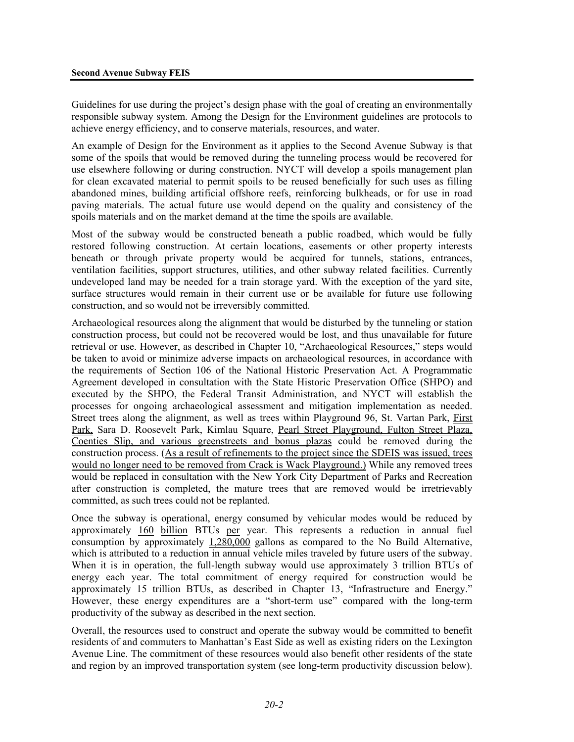Guidelines for use during the project's design phase with the goal of creating an environmentally responsible subway system. Among the Design for the Environment guidelines are protocols to achieve energy efficiency, and to conserve materials, resources, and water.

An example of Design for the Environment as it applies to the Second Avenue Subway is that some of the spoils that would be removed during the tunneling process would be recovered for use elsewhere following or during construction. NYCT will develop a spoils management plan for clean excavated material to permit spoils to be reused beneficially for such uses as filling abandoned mines, building artificial offshore reefs, reinforcing bulkheads, or for use in road paving materials. The actual future use would depend on the quality and consistency of the spoils materials and on the market demand at the time the spoils are available.

Most of the subway would be constructed beneath a public roadbed, which would be fully restored following construction. At certain locations, easements or other property interests beneath or through private property would be acquired for tunnels, stations, entrances, ventilation facilities, support structures, utilities, and other subway related facilities. Currently undeveloped land may be needed for a train storage yard. With the exception of the yard site, surface structures would remain in their current use or be available for future use following construction, and so would not be irreversibly committed.

Archaeological resources along the alignment that would be disturbed by the tunneling or station construction process, but could not be recovered would be lost, and thus unavailable for future retrieval or use. However, as described in Chapter 10, "Archaeological Resources," steps would be taken to avoid or minimize adverse impacts on archaeological resources, in accordance with the requirements of Section 106 of the National Historic Preservation Act. A Programmatic Agreement developed in consultation with the State Historic Preservation Office (SHPO) and executed by the SHPO, the Federal Transit Administration, and NYCT will establish the processes for ongoing archaeological assessment and mitigation implementation as needed. Street trees along the alignment, as well as trees within Playground 96, St. Vartan Park, First Park, Sara D. Roosevelt Park, Kimlau Square, Pearl Street Playground, Fulton Street Plaza, Coenties Slip, and various greenstreets and bonus plazas could be removed during the construction process. (As a result of refinements to the project since the SDEIS was issued, trees would no longer need to be removed from Crack is Wack Playground.) While any removed trees would be replaced in consultation with the New York City Department of Parks and Recreation after construction is completed, the mature trees that are removed would be irretrievably committed, as such trees could not be replanted.

Once the subway is operational, energy consumed by vehicular modes would be reduced by approximately 160 billion BTUs per year. This represents a reduction in annual fuel consumption by approximately 1,280,000 gallons as compared to the No Build Alternative, which is attributed to a reduction in annual vehicle miles traveled by future users of the subway. When it is in operation, the full-length subway would use approximately 3 trillion BTUs of energy each year. The total commitment of energy required for construction would be approximately 15 trillion BTUs, as described in Chapter 13, "Infrastructure and Energy." However, these energy expenditures are a "short-term use" compared with the long-term productivity of the subway as described in the next section.

Overall, the resources used to construct and operate the subway would be committed to benefit residents of and commuters to Manhattan's East Side as well as existing riders on the Lexington Avenue Line. The commitment of these resources would also benefit other residents of the state and region by an improved transportation system (see long-term productivity discussion below).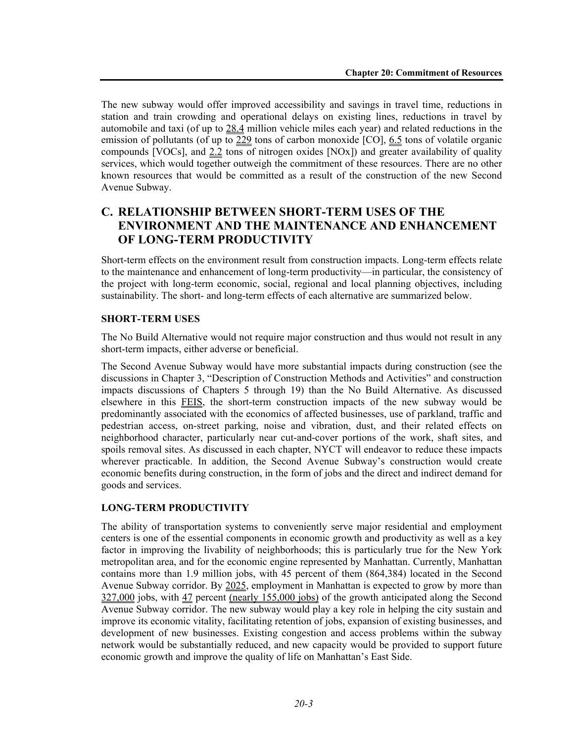The new subway would offer improved accessibility and savings in travel time, reductions in station and train crowding and operational delays on existing lines, reductions in travel by automobile and taxi (of up to 28.4 million vehicle miles each year) and related reductions in the emission of pollutants (of up to 229 tons of carbon monoxide  $[CO]$ , 6.5 tons of volatile organic compounds [VOCs], and  $2.2$  tons of nitrogen oxides [NOx]) and greater availability of quality services, which would together outweigh the commitment of these resources. There are no other known resources that would be committed as a result of the construction of the new Second Avenue Subway.

# **C. RELATIONSHIP BETWEEN SHORT-TERM USES OF THE ENVIRONMENT AND THE MAINTENANCE AND ENHANCEMENT OF LONG-TERM PRODUCTIVITY**

Short-term effects on the environment result from construction impacts. Long-term effects relate to the maintenance and enhancement of long-term productivity—in particular, the consistency of the project with long-term economic, social, regional and local planning objectives, including sustainability. The short- and long-term effects of each alternative are summarized below.

#### **SHORT-TERM USES**

The No Build Alternative would not require major construction and thus would not result in any short-term impacts, either adverse or beneficial.

The Second Avenue Subway would have more substantial impacts during construction (see the discussions in Chapter 3, "Description of Construction Methods and Activities" and construction impacts discussions of Chapters 5 through 19) than the No Build Alternative. As discussed elsewhere in this FEIS, the short-term construction impacts of the new subway would be predominantly associated with the economics of affected businesses, use of parkland, traffic and pedestrian access, on-street parking, noise and vibration, dust, and their related effects on neighborhood character, particularly near cut-and-cover portions of the work, shaft sites, and spoils removal sites. As discussed in each chapter, NYCT will endeavor to reduce these impacts wherever practicable. In addition, the Second Avenue Subway's construction would create economic benefits during construction, in the form of jobs and the direct and indirect demand for goods and services.

### **LONG-TERM PRODUCTIVITY**

The ability of transportation systems to conveniently serve major residential and employment centers is one of the essential components in economic growth and productivity as well as a key factor in improving the livability of neighborhoods; this is particularly true for the New York metropolitan area, and for the economic engine represented by Manhattan. Currently, Manhattan contains more than 1.9 million jobs, with 45 percent of them (864,384) located in the Second Avenue Subway corridor. By 2025, employment in Manhattan is expected to grow by more than 327,000 jobs, with 47 percent (nearly 155,000 jobs) of the growth anticipated along the Second Avenue Subway corridor. The new subway would play a key role in helping the city sustain and improve its economic vitality, facilitating retention of jobs, expansion of existing businesses, and development of new businesses. Existing congestion and access problems within the subway network would be substantially reduced, and new capacity would be provided to support future economic growth and improve the quality of life on Manhattan's East Side.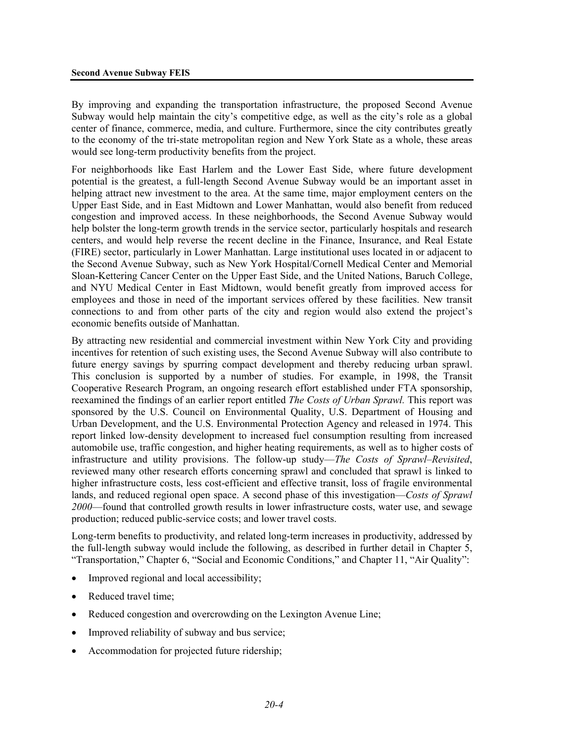By improving and expanding the transportation infrastructure, the proposed Second Avenue Subway would help maintain the city's competitive edge, as well as the city's role as a global center of finance, commerce, media, and culture. Furthermore, since the city contributes greatly to the economy of the tri-state metropolitan region and New York State as a whole, these areas would see long-term productivity benefits from the project.

For neighborhoods like East Harlem and the Lower East Side, where future development potential is the greatest, a full-length Second Avenue Subway would be an important asset in helping attract new investment to the area. At the same time, major employment centers on the Upper East Side, and in East Midtown and Lower Manhattan, would also benefit from reduced congestion and improved access. In these neighborhoods, the Second Avenue Subway would help bolster the long-term growth trends in the service sector, particularly hospitals and research centers, and would help reverse the recent decline in the Finance, Insurance, and Real Estate (FIRE) sector, particularly in Lower Manhattan. Large institutional uses located in or adjacent to the Second Avenue Subway, such as New York Hospital/Cornell Medical Center and Memorial Sloan-Kettering Cancer Center on the Upper East Side, and the United Nations, Baruch College, and NYU Medical Center in East Midtown, would benefit greatly from improved access for employees and those in need of the important services offered by these facilities. New transit connections to and from other parts of the city and region would also extend the project's economic benefits outside of Manhattan.

By attracting new residential and commercial investment within New York City and providing incentives for retention of such existing uses, the Second Avenue Subway will also contribute to future energy savings by spurring compact development and thereby reducing urban sprawl. This conclusion is supported by a number of studies. For example, in 1998, the Transit Cooperative Research Program, an ongoing research effort established under FTA sponsorship, reexamined the findings of an earlier report entitled *The Costs of Urban Sprawl.* This report was sponsored by the U.S. Council on Environmental Quality, U.S. Department of Housing and Urban Development, and the U.S. Environmental Protection Agency and released in 1974. This report linked low-density development to increased fuel consumption resulting from increased automobile use, traffic congestion, and higher heating requirements, as well as to higher costs of infrastructure and utility provisions. The follow-up study—*The Costs of Sprawl–Revisited*, reviewed many other research efforts concerning sprawl and concluded that sprawl is linked to higher infrastructure costs, less cost-efficient and effective transit, loss of fragile environmental lands, and reduced regional open space. A second phase of this investigation—*Costs of Sprawl 2000*—found that controlled growth results in lower infrastructure costs, water use, and sewage production; reduced public-service costs; and lower travel costs.

Long-term benefits to productivity, and related long-term increases in productivity, addressed by the full-length subway would include the following, as described in further detail in Chapter 5, "Transportation," Chapter 6, "Social and Economic Conditions," and Chapter 11, "Air Quality":

- Improved regional and local accessibility;
- Reduced travel time;
- Reduced congestion and overcrowding on the Lexington Avenue Line;
- Improved reliability of subway and bus service;
- Accommodation for projected future ridership;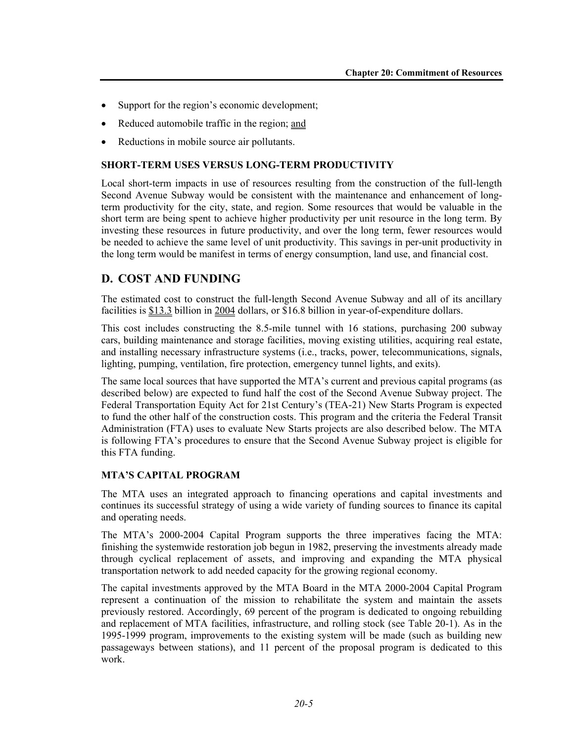- Support for the region's economic development;
- Reduced automobile traffic in the region; and
- Reductions in mobile source air pollutants.

#### **SHORT-TERM USES VERSUS LONG-TERM PRODUCTIVITY**

Local short-term impacts in use of resources resulting from the construction of the full-length Second Avenue Subway would be consistent with the maintenance and enhancement of longterm productivity for the city, state, and region. Some resources that would be valuable in the short term are being spent to achieve higher productivity per unit resource in the long term. By investing these resources in future productivity, and over the long term, fewer resources would be needed to achieve the same level of unit productivity. This savings in per-unit productivity in the long term would be manifest in terms of energy consumption, land use, and financial cost.

# **D. COST AND FUNDING**

The estimated cost to construct the full-length Second Avenue Subway and all of its ancillary facilities is \$13.3 billion in 2004 dollars, or \$16.8 billion in year-of-expenditure dollars.

This cost includes constructing the 8.5-mile tunnel with 16 stations, purchasing 200 subway cars, building maintenance and storage facilities, moving existing utilities, acquiring real estate, and installing necessary infrastructure systems (i.e., tracks, power, telecommunications, signals, lighting, pumping, ventilation, fire protection, emergency tunnel lights, and exits).

The same local sources that have supported the MTA's current and previous capital programs (as described below) are expected to fund half the cost of the Second Avenue Subway project. The Federal Transportation Equity Act for 21st Century's (TEA-21) New Starts Program is expected to fund the other half of the construction costs. This program and the criteria the Federal Transit Administration (FTA) uses to evaluate New Starts projects are also described below. The MTA is following FTA's procedures to ensure that the Second Avenue Subway project is eligible for this FTA funding.

#### **MTA'S CAPITAL PROGRAM**

The MTA uses an integrated approach to financing operations and capital investments and continues its successful strategy of using a wide variety of funding sources to finance its capital and operating needs.

The MTA's 2000-2004 Capital Program supports the three imperatives facing the MTA: finishing the systemwide restoration job begun in 1982, preserving the investments already made through cyclical replacement of assets, and improving and expanding the MTA physical transportation network to add needed capacity for the growing regional economy.

The capital investments approved by the MTA Board in the MTA 2000-2004 Capital Program represent a continuation of the mission to rehabilitate the system and maintain the assets previously restored. Accordingly, 69 percent of the program is dedicated to ongoing rebuilding and replacement of MTA facilities, infrastructure, and rolling stock (see Table 20-1). As in the 1995-1999 program, improvements to the existing system will be made (such as building new passageways between stations), and 11 percent of the proposal program is dedicated to this work.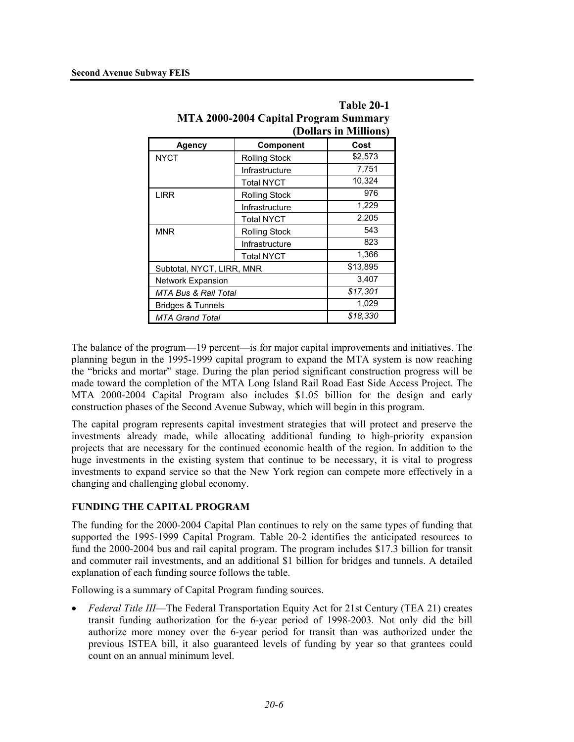|                           | $\frac{1}{2}$ . $\frac{1}{2}$ . $\frac{1}{2}$ . $\frac{1}{2}$ . $\frac{1}{2}$ . $\frac{1}{2}$ . $\frac{1}{2}$<br>(Dollars in Millions) |         |  |  |  |
|---------------------------|----------------------------------------------------------------------------------------------------------------------------------------|---------|--|--|--|
| <b>Agency</b>             | Component                                                                                                                              | Cost    |  |  |  |
| <b>NYCT</b>               | <b>Rolling Stock</b>                                                                                                                   | \$2,573 |  |  |  |
|                           | Infrastructure                                                                                                                         | 7,751   |  |  |  |
|                           | <b>Total NYCT</b>                                                                                                                      | 10,324  |  |  |  |
| <b>LIRR</b>               | <b>Rolling Stock</b>                                                                                                                   | 976     |  |  |  |
|                           | Infrastructure                                                                                                                         | 1,229   |  |  |  |
|                           | <b>Total NYCT</b>                                                                                                                      | 2,205   |  |  |  |
| <b>MNR</b>                | <b>Rolling Stock</b>                                                                                                                   | 543     |  |  |  |
|                           | Infrastructure                                                                                                                         | 823     |  |  |  |
|                           | <b>Total NYCT</b>                                                                                                                      | 1,366   |  |  |  |
| Subtotal, NYCT, LIRR, MNR | \$13,895                                                                                                                               |         |  |  |  |
| <b>Network Expansion</b>  | 3,407                                                                                                                                  |         |  |  |  |
| MTA Bus & Rail Total      | \$17,301                                                                                                                               |         |  |  |  |
| Bridges & Tunnels         | 1,029                                                                                                                                  |         |  |  |  |
| <b>MTA Grand Total</b>    | \$18,330                                                                                                                               |         |  |  |  |

|                                       | Table 20-1            |  |  |  |
|---------------------------------------|-----------------------|--|--|--|
| MTA 2000-2004 Capital Program Summary |                       |  |  |  |
|                                       | (Dollars in Millions) |  |  |  |
|                                       |                       |  |  |  |

The balance of the program—19 percent—is for major capital improvements and initiatives. The planning begun in the 1995-1999 capital program to expand the MTA system is now reaching the "bricks and mortar" stage. During the plan period significant construction progress will be made toward the completion of the MTA Long Island Rail Road East Side Access Project. The MTA 2000-2004 Capital Program also includes \$1.05 billion for the design and early construction phases of the Second Avenue Subway, which will begin in this program.

The capital program represents capital investment strategies that will protect and preserve the investments already made, while allocating additional funding to high-priority expansion projects that are necessary for the continued economic health of the region. In addition to the huge investments in the existing system that continue to be necessary, it is vital to progress investments to expand service so that the New York region can compete more effectively in a changing and challenging global economy.

### **FUNDING THE CAPITAL PROGRAM**

The funding for the 2000-2004 Capital Plan continues to rely on the same types of funding that supported the 1995-1999 Capital Program. Table 20-2 identifies the anticipated resources to fund the 2000-2004 bus and rail capital program. The program includes \$17.3 billion for transit and commuter rail investments, and an additional \$1 billion for bridges and tunnels. A detailed explanation of each funding source follows the table.

Following is a summary of Capital Program funding sources.

• *Federal Title III*—The Federal Transportation Equity Act for 21st Century (TEA 21) creates transit funding authorization for the 6-year period of 1998-2003. Not only did the bill authorize more money over the 6-year period for transit than was authorized under the previous ISTEA bill, it also guaranteed levels of funding by year so that grantees could count on an annual minimum level.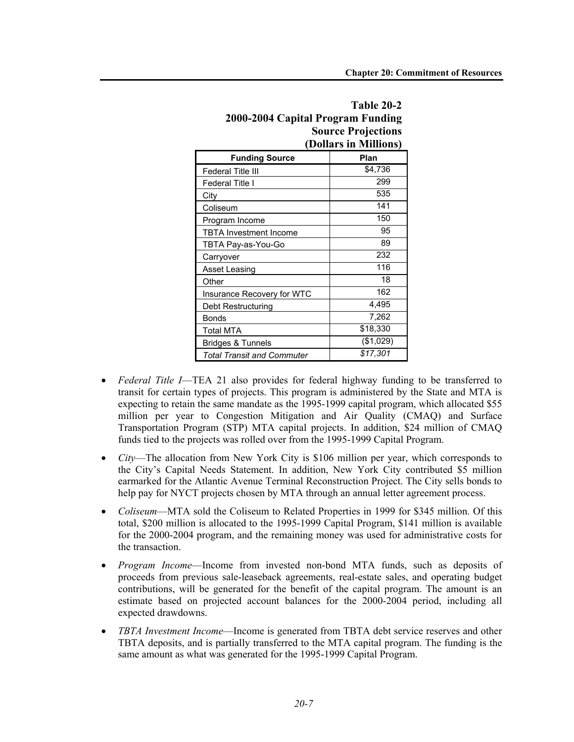| 2000-2004 Capital Frogram Funding |                       |  |  |  |
|-----------------------------------|-----------------------|--|--|--|
| <b>Source Projections</b>         |                       |  |  |  |
|                                   | (Dollars in Millions) |  |  |  |
| <b>Funding Source</b>             | Plan                  |  |  |  |
| Federal Title III                 | \$4,736               |  |  |  |
| Federal Title I                   | 299                   |  |  |  |
| City                              | 535                   |  |  |  |
| Coliseum                          | 141                   |  |  |  |
| Program Income                    | 150                   |  |  |  |
| TBTA Investment Income            | 95                    |  |  |  |
| TBTA Pay-as-You-Go                | 89                    |  |  |  |
| Carryover                         | 232                   |  |  |  |
| <b>Asset Leasing</b>              | 116                   |  |  |  |
| Other                             | 18                    |  |  |  |
| Insurance Recovery for WTC        | 162                   |  |  |  |
| Debt Restructuring                | 4,495                 |  |  |  |
| Bonds                             | 7,262                 |  |  |  |
| Total MTA                         | \$18,330              |  |  |  |
| Bridges & Tunnels                 | (\$1,029)             |  |  |  |
| Total Transit and Commuter        | \$17,301              |  |  |  |

# **Table 20-2 2000-2004 Capital Program Funding**

- *Federal Title I*—TEA 21 also provides for federal highway funding to be transferred to transit for certain types of projects. This program is administered by the State and MTA is expecting to retain the same mandate as the 1995-1999 capital program, which allocated \$55 million per year to Congestion Mitigation and Air Quality (CMAQ) and Surface Transportation Program (STP) MTA capital projects. In addition, \$24 million of CMAQ funds tied to the projects was rolled over from the 1995-1999 Capital Program.
- *City*—The allocation from New York City is \$106 million per year, which corresponds to the City's Capital Needs Statement. In addition, New York City contributed \$5 million earmarked for the Atlantic Avenue Terminal Reconstruction Project. The City sells bonds to help pay for NYCT projects chosen by MTA through an annual letter agreement process.
- *Coliseum*—MTA sold the Coliseum to Related Properties in 1999 for \$345 million. Of this total, \$200 million is allocated to the 1995-1999 Capital Program, \$141 million is available for the 2000-2004 program, and the remaining money was used for administrative costs for the transaction.
- *Program Income*—Income from invested non-bond MTA funds, such as deposits of proceeds from previous sale-leaseback agreements, real-estate sales, and operating budget contributions, will be generated for the benefit of the capital program. The amount is an estimate based on projected account balances for the 2000-2004 period, including all expected drawdowns.
- *TBTA Investment Income*—Income is generated from TBTA debt service reserves and other TBTA deposits, and is partially transferred to the MTA capital program. The funding is the same amount as what was generated for the 1995-1999 Capital Program.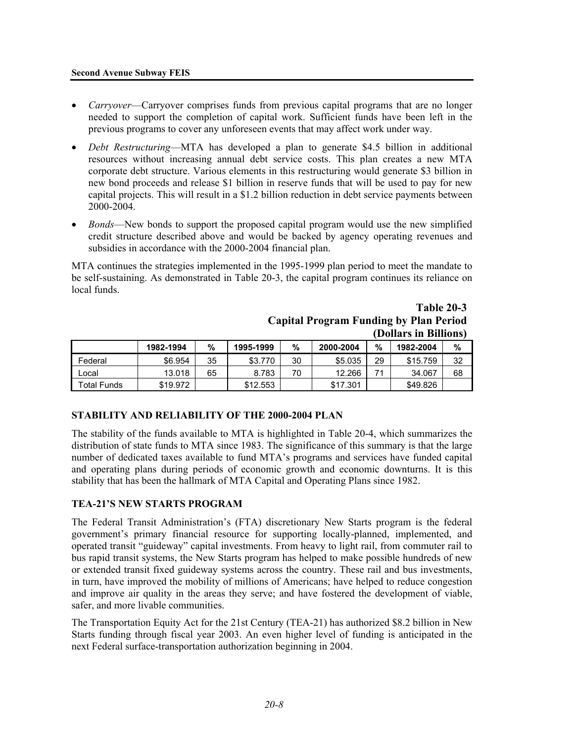#### **Second Avenue Subway FEIS**

- *Carryover*—Carryover comprises funds from previous capital programs that are no longer needed to support the completion of capital work. Sufficient funds have been left in the previous programs to cover any unforeseen events that may affect work under way.
- *Debt Restructuring*—MTA has developed a plan to generate \$4.5 billion in additional resources without increasing annual debt service costs. This plan creates a new MTA corporate debt structure. Various elements in this restructuring would generate \$3 billion in new bond proceeds and release \$1 billion in reserve funds that will be used to pay for new capital projects. This will result in a \$1.2 billion reduction in debt service payments between 2000-2004.
- *Bonds*—New bonds to support the proposed capital program would use the new simplified credit structure described above and would be backed by agency operating revenues and subsidies in accordance with the 2000-2004 financial plan.

MTA continues the strategies implemented in the 1995-1999 plan period to meet the mandate to be self-sustaining. As demonstrated in Table 20-3, the capital program continues its reliance on local funds.

|             |           |    |           |    |           | (Dollars in Billions) |           |    |
|-------------|-----------|----|-----------|----|-----------|-----------------------|-----------|----|
|             | 1982-1994 | %  | 1995-1999 | %  | 2000-2004 | %                     | 1982-2004 | %  |
| Federal     | \$6.954   | 35 | \$3.770   | 30 | \$5,035   | 29                    | \$15,759  | 32 |
| Local       | 13.018    | 65 | 8.783     | 70 | 12.266    |                       | 34.067    | 68 |
| Total Funds | \$19.972  |    | \$12,553  |    | \$17.301  |                       | \$49.826  |    |

## **Table 20-3 Capital Program Funding by Plan Period (Dollars in Billions)**

### **STABILITY AND RELIABILITY OF THE 2000-2004 PLAN**

The stability of the funds available to MTA is highlighted in Table 20-4, which summarizes the distribution of state funds to MTA since 1983. The significance of this summary is that the large number of dedicated taxes available to fund MTA's programs and services have funded capital and operating plans during periods of economic growth and economic downturns. It is this stability that has been the hallmark of MTA Capital and Operating Plans since 1982.

#### **TEA-21'S NEW STARTS PROGRAM**

The Federal Transit Administration's (FTA) discretionary New Starts program is the federal government's primary financial resource for supporting locally-planned, implemented, and operated transit "guideway" capital investments. From heavy to light rail, from commuter rail to bus rapid transit systems, the New Starts program has helped to make possible hundreds of new or extended transit fixed guideway systems across the country. These rail and bus investments, in turn, have improved the mobility of millions of Americans; have helped to reduce congestion and improve air quality in the areas they serve; and have fostered the development of viable, safer, and more livable communities.

The Transportation Equity Act for the 21st Century (TEA-21) has authorized \$8.2 billion in New Starts funding through fiscal year 2003. An even higher level of funding is anticipated in the next Federal surface-transportation authorization beginning in 2004.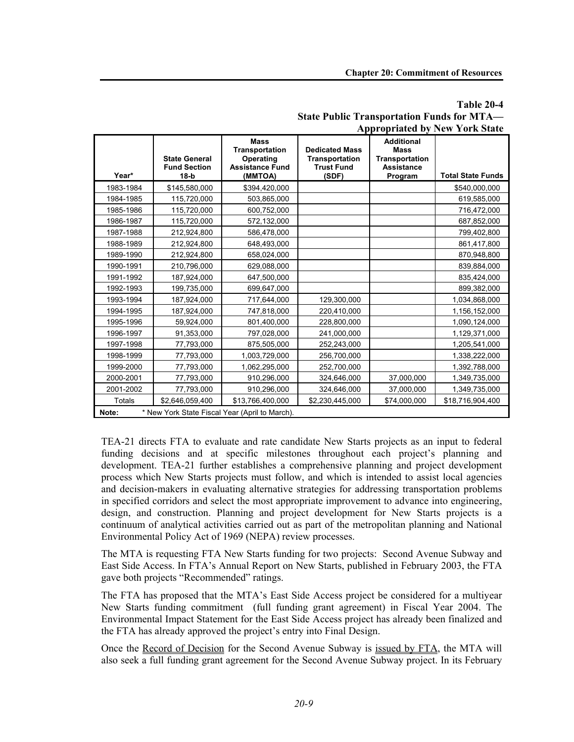#### **Table 20-4 State Public Transportation Funds for MTA— Appropriated by New York State**

|                                                         | <b>State General</b><br><b>Fund Section</b> | <b>Mass</b><br>Transportation<br>Operating<br><b>Assistance Fund</b> | <b>Dedicated Mass</b><br><b>Transportation</b><br><b>Trust Fund</b> | <b>Additional</b><br><b>Mass</b><br><b>Transportation</b><br><b>Assistance</b> |                          |  |  |
|---------------------------------------------------------|---------------------------------------------|----------------------------------------------------------------------|---------------------------------------------------------------------|--------------------------------------------------------------------------------|--------------------------|--|--|
| Year*                                                   | $18-b$                                      | (MMTOA)                                                              | (SDF)                                                               | Program                                                                        | <b>Total State Funds</b> |  |  |
| 1983-1984                                               | \$145,580,000                               | \$394,420,000                                                        |                                                                     |                                                                                | \$540,000,000            |  |  |
| 1984-1985                                               | 115,720,000                                 | 503,865,000                                                          |                                                                     |                                                                                | 619,585,000              |  |  |
| 1985-1986                                               | 115,720,000                                 | 600,752,000                                                          |                                                                     |                                                                                | 716,472,000              |  |  |
| 1986-1987                                               | 115,720,000                                 | 572,132,000                                                          |                                                                     |                                                                                | 687,852,000              |  |  |
| 1987-1988                                               | 212,924,800                                 | 586,478,000                                                          |                                                                     |                                                                                | 799,402,800              |  |  |
| 1988-1989                                               | 212,924,800                                 | 648,493,000                                                          |                                                                     |                                                                                | 861,417,800              |  |  |
| 1989-1990                                               | 212,924,800                                 | 658,024,000                                                          |                                                                     |                                                                                | 870,948,800              |  |  |
| 1990-1991                                               | 210,796,000                                 | 629,088,000                                                          |                                                                     |                                                                                | 839,884,000              |  |  |
| 1991-1992                                               | 187,924,000                                 | 647,500,000                                                          |                                                                     |                                                                                | 835,424,000              |  |  |
| 1992-1993                                               | 199,735,000                                 | 699,647,000                                                          |                                                                     |                                                                                | 899,382,000              |  |  |
| 1993-1994                                               | 187,924,000                                 | 717,644,000                                                          | 129,300,000                                                         |                                                                                | 1,034,868,000            |  |  |
| 1994-1995                                               | 187,924,000                                 | 747,818,000                                                          | 220,410,000                                                         |                                                                                | 1,156,152,000            |  |  |
| 1995-1996                                               | 59,924,000                                  | 801,400,000                                                          | 228,800,000                                                         |                                                                                | 1,090,124,000            |  |  |
| 1996-1997                                               | 91,353,000                                  | 797,028,000                                                          | 241,000,000                                                         |                                                                                | 1,129,371,000            |  |  |
| 1997-1998                                               | 77,793,000                                  | 875,505,000                                                          | 252,243,000                                                         |                                                                                | 1,205,541,000            |  |  |
| 1998-1999                                               | 77,793,000                                  | 1,003,729,000                                                        | 256,700,000                                                         |                                                                                | 1,338,222,000            |  |  |
| 1999-2000                                               | 77,793,000                                  | 1,062,295,000                                                        | 252,700,000                                                         |                                                                                | 1,392,788,000            |  |  |
| 2000-2001                                               | 77,793,000                                  | 910,296,000                                                          | 324,646,000                                                         | 37,000,000                                                                     | 1,349,735,000            |  |  |
| 2001-2002                                               | 77,793,000                                  | 910,296,000                                                          | 324,646,000                                                         | 37,000,000                                                                     | 1,349,735,000            |  |  |
| <b>Totals</b>                                           | \$2,646,059,400                             | \$13,766,400,000                                                     | \$2,230,445,000                                                     | \$74,000,000                                                                   | \$18,716,904,400         |  |  |
| * New York State Fiscal Year (April to March).<br>Note: |                                             |                                                                      |                                                                     |                                                                                |                          |  |  |

TEA-21 directs FTA to evaluate and rate candidate New Starts projects as an input to federal funding decisions and at specific milestones throughout each project's planning and development. TEA-21 further establishes a comprehensive planning and project development process which New Starts projects must follow, and which is intended to assist local agencies and decision-makers in evaluating alternative strategies for addressing transportation problems in specified corridors and select the most appropriate improvement to advance into engineering, design, and construction. Planning and project development for New Starts projects is a continuum of analytical activities carried out as part of the metropolitan planning and National Environmental Policy Act of 1969 (NEPA) review processes.

The MTA is requesting FTA New Starts funding for two projects: Second Avenue Subway and East Side Access. In FTA's Annual Report on New Starts, published in February 2003, the FTA gave both projects "Recommended" ratings.

The FTA has proposed that the MTA's East Side Access project be considered for a multiyear New Starts funding commitment (full funding grant agreement) in Fiscal Year 2004. The Environmental Impact Statement for the East Side Access project has already been finalized and the FTA has already approved the project's entry into Final Design.

Once the Record of Decision for the Second Avenue Subway is issued by FTA, the MTA will also seek a full funding grant agreement for the Second Avenue Subway project. In its February